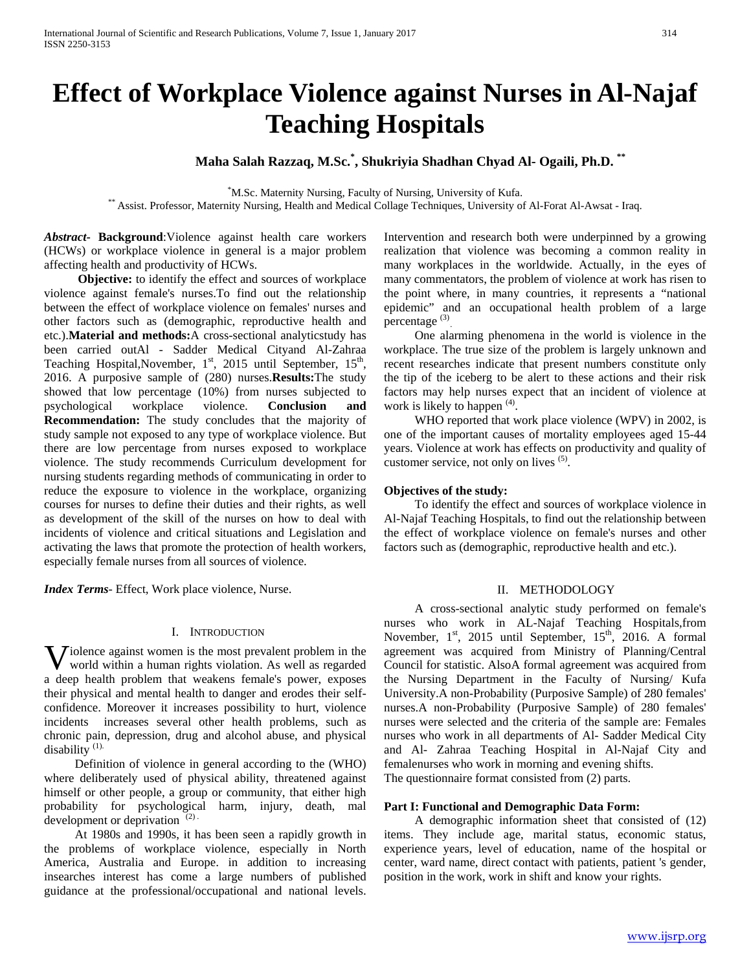# **Effect of Workplace Violence against Nurses in Al-Najaf Teaching Hospitals**

# **Maha Salah Razzaq, M.Sc.\* , Shukriyia Shadhan Chyad Al- Ogaili, Ph.D. \*\***

<sup>\*</sup>M.Sc. Maternity Nursing, Faculty of Nursing, University of Kufa. \*\* Assist. Professor, Maternity Nursing, Health and Medical Collage Techniques, University of Al-Forat Al-Awsat - Iraq.

*Abstract***- Background**:Violence against health care workers (HCWs) or workplace violence in general is a major problem affecting health and productivity of HCWs.

 **Objective:** to identify the effect and sources of workplace violence against female's nurses.To find out the relationship between the effect of workplace violence on females' nurses and other factors such as (demographic, reproductive health and etc.).**Material and methods:**A cross-sectional analyticstudy has been carried outAl - Sadder Medical Cityand Al-Zahraa Teaching Hospital, November, 1<sup>st</sup>, 2015 until September, 15<sup>th</sup>, 2016. A purposive sample of (280) nurses.**Results:**The study showed that low percentage (10%) from nurses subjected to psychological workplace violence. **Conclusion and Recommendation:** The study concludes that the majority of study sample not exposed to any type of workplace violence. But there are low percentage from nurses exposed to workplace violence. The study recommends Curriculum development for nursing students regarding methods of communicating in order to reduce the exposure to violence in the workplace, organizing courses for nurses to define their duties and their rights, as well as development of the skill of the nurses on how to deal with incidents of violence and critical situations and Legislation and activating the laws that promote the protection of health workers, especially female nurses from all sources of violence.

*Index Terms*- Effect, Work place violence, Nurse.

### I. INTRODUCTION

**V** iolence against women is the most prevalent problem in the world within a human rights violation. As well as regarded world within a human rights violation. As well as regarded a deep health problem that weakens female's power, exposes their physical and mental health to danger and erodes their selfconfidence. Moreover it increases possibility to hurt, violence incidents increases several other health problems, such as chronic pain, depression, drug and alcohol abuse, and physical disability<sup>(1)</sup>

 Definition of violence in general according to the (WHO) where deliberately used of physical ability, threatened against himself or other people, a group or community, that either high probability for psychological harm, injury, death, mal development or deprivation<sup>(2)</sup>

 At 1980s and 1990s, it has been seen a rapidly growth in the problems of workplace violence, especially in North America, Australia and Europe. in addition to increasing insearches interest has come a large numbers of published guidance at the professional/occupational and national levels.

Intervention and research both were underpinned by a growing realization that violence was becoming a common reality in many workplaces in the worldwide. Actually, in the eyes of many commentators, the problem of violence at work has risen to the point where, in many countries, it represents a "national epidemic" and an occupational health problem of a large percentage<sup>(3)</sup>

 One alarming phenomena in the world is violence in the workplace. The true size of the problem is largely unknown and recent researches indicate that present numbers constitute only the tip of the iceberg to be alert to these actions and their risk factors may help nurses expect that an incident of violence at work is likely to happen<sup>(4)</sup>.

 WHO reported that work place violence (WPV) in 2002, is one of the important causes of mortality employees aged 15-44 years. Violence at work has effects on productivity and quality of customer service, not only on lives <sup>(5)</sup>.

# **Objectives of the study:**

 To identify the effect and sources of workplace violence in Al-Najaf Teaching Hospitals, to find out the relationship between the effect of workplace violence on female's nurses and other factors such as (demographic, reproductive health and etc.).

# II. METHODOLOGY

 A cross-sectional analytic study performed on female's nurses who work in AL-Najaf Teaching Hospitals,from November, 1<sup>st</sup>, 2015 until September, 15<sup>th</sup>, 2016. A formal agreement was acquired from Ministry of Planning/Central Council for statistic. AlsoA formal agreement was acquired from the Nursing Department in the Faculty of Nursing/ Kufa University.A non-Probability (Purposive Sample) of 280 females' nurses.A non-Probability (Purposive Sample) of 280 females' nurses were selected and the criteria of the sample are: Females nurses who work in all departments of Al- Sadder Medical City and Al- Zahraa Teaching Hospital in Al-Najaf City and femalenurses who work in morning and evening shifts. The questionnaire format consisted from (2) parts.

# **Part I: Functional and Demographic Data Form:**

 A demographic information sheet that consisted of (12) items. They include age, marital status, economic status, experience years, level of education, name of the hospital or center, ward name, direct contact with patients, patient 's gender, position in the work, work in shift and know your rights.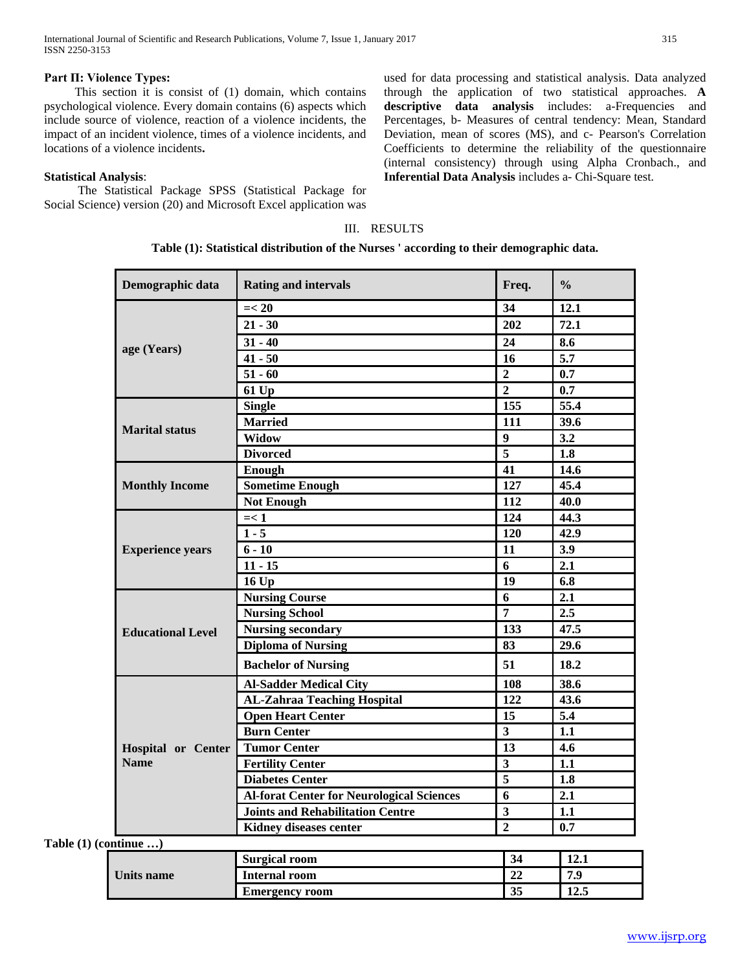# **Part Π: Violence Types:**

 This section it is consist of (1) domain, which contains psychological violence. Every domain contains (6) aspects which include source of violence, reaction of a violence incidents, the impact of an incident violence, times of a violence incidents, and locations of a violence incidents**.**

# **Statistical Analysis**:

 The Statistical Package SPSS (Statistical Package for Social Science) version (20) and Microsoft Excel application was used for data processing and statistical analysis. Data analyzed through the application of two statistical approaches. **A descriptive data analysis** includes: a-Frequencies and Percentages, b- Measures of central tendency: Mean, Standard Deviation, mean of scores (MS), and c- Pearson's Correlation Coefficients to determine the reliability of the questionnaire (internal consistency) through using Alpha Cronbach., and **Inferential Data Analysis** includes a- Chi-Square test.

# III. RESULTS

**Table (1): Statistical distribution of the Nurses ' according to their demographic data.**

| Demographic data          | <b>Rating and intervals</b>                      | Freq.                   | $\frac{0}{0}$    |
|---------------------------|--------------------------------------------------|-------------------------|------------------|
|                           | $=< 20$                                          | 34                      | 12.1             |
|                           | $21 - 30$                                        | 202                     | 72.1             |
| age (Years)               | $31 - 40$                                        | 24                      | 8.6              |
|                           | $41 - 50$                                        | 16                      | $\overline{5.7}$ |
|                           | $51 - 60$                                        | $\overline{2}$          | 0.7              |
|                           | 61 Up                                            | $\boldsymbol{2}$        | 0.7              |
|                           | <b>Single</b>                                    | 155                     | 55.4             |
| <b>Marital status</b>     | <b>Married</b>                                   | 111                     | 39.6             |
|                           | Widow                                            | $\boldsymbol{9}$        | 3.2              |
|                           | <b>Divorced</b>                                  | $\overline{5}$          | 1.8              |
|                           | Enough                                           | 41                      | 14.6             |
| <b>Monthly Income</b>     | <b>Sometime Enough</b>                           | 127                     | 45.4             |
|                           | <b>Not Enough</b>                                | 112                     | 40.0             |
|                           | $=< 1$                                           | 124                     | 44.3             |
|                           | $1 - 5$                                          | 120                     | 42.9             |
| <b>Experience years</b>   | $6 - 10$                                         | 11                      | 3.9              |
|                           | $11 - 15$                                        | 6                       | 2.1              |
|                           | <b>16 Up</b>                                     | 19                      | 6.8              |
|                           | <b>Nursing Course</b>                            | 6                       | 2.1              |
|                           | <b>Nursing School</b>                            | $\overline{7}$          | 2.5              |
| <b>Educational Level</b>  | <b>Nursing secondary</b>                         | 133                     | 47.5             |
|                           | <b>Diploma of Nursing</b>                        | 83                      | 29.6             |
|                           | <b>Bachelor of Nursing</b>                       | 51                      | 18.2             |
|                           | <b>Al-Sadder Medical City</b>                    | 108                     | 38.6             |
|                           | <b>AL-Zahraa Teaching Hospital</b>               | 122                     | 43.6             |
|                           | <b>Open Heart Center</b>                         | 15                      | $\overline{5.4}$ |
|                           | <b>Burn Center</b>                               | $\overline{\mathbf{3}}$ | 1.1              |
| <b>Hospital or Center</b> | <b>Tumor Center</b>                              | 13                      | 4.6              |
| <b>Name</b>               | <b>Fertility Center</b>                          | $\overline{\mathbf{3}}$ | 1.1              |
|                           | <b>Diabetes Center</b>                           | $\overline{\mathbf{5}}$ | 1.8              |
|                           | <b>Al-forat Center for Neurological Sciences</b> | $\overline{6}$          | 2.1              |
|                           | <b>Joints and Rehabilitation Centre</b>          | $\overline{\mathbf{3}}$ | 1.1              |
|                           | Kidney diseases center                           | $\overline{2}$          | 0.7              |

**Units name Surgical room 34 12.1 Internal room 22 7.9 Emergency room 35 12.5**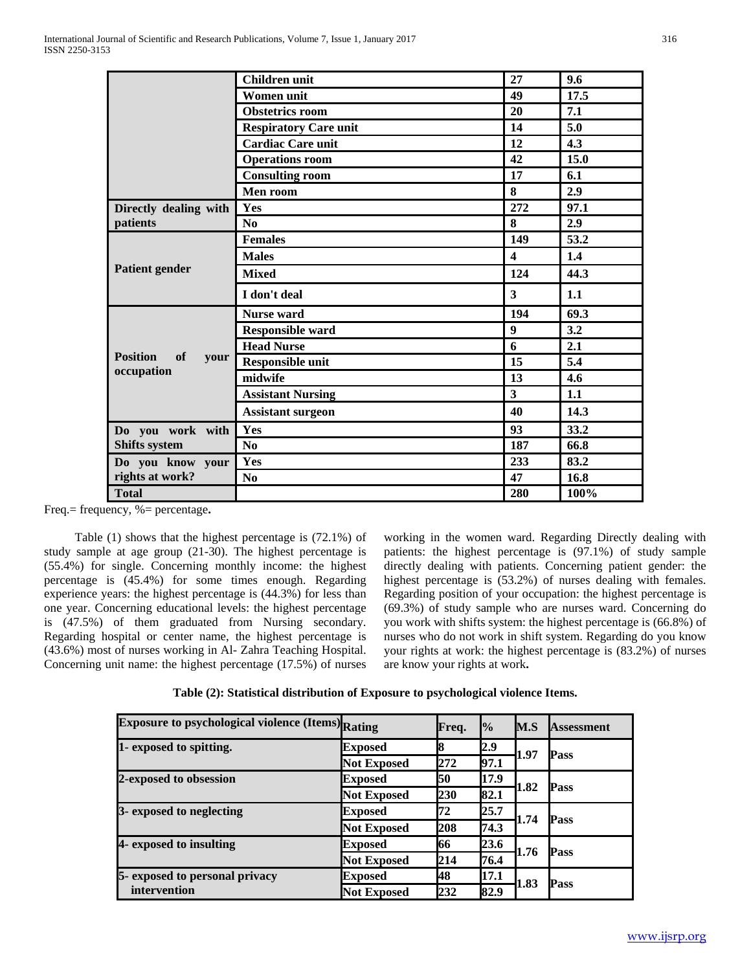|                               | <b>Children unit</b>         | 27                      | 9.6  |
|-------------------------------|------------------------------|-------------------------|------|
|                               | Women unit                   | 49                      | 17.5 |
|                               | <b>Obstetrics room</b>       | 20                      | 7.1  |
|                               | <b>Respiratory Care unit</b> | 14                      | 5.0  |
|                               | <b>Cardiac Care unit</b>     | 12                      | 4.3  |
|                               | <b>Operations room</b>       | 42                      | 15.0 |
|                               | <b>Consulting room</b>       | 17                      | 6.1  |
|                               | Men room                     | 8                       | 2.9  |
| Directly dealing with         | Yes                          | 272                     | 97.1 |
| patients                      | No                           | 8                       | 2.9  |
|                               | <b>Females</b>               | 149                     | 53.2 |
| <b>Patient gender</b>         | <b>Males</b>                 | $\overline{\mathbf{4}}$ | 1.4  |
|                               | <b>Mixed</b>                 | 124                     | 44.3 |
|                               | I don't deal                 | $\mathbf{3}$            | 1.1  |
|                               | <b>Nurse</b> ward            | 194                     | 69.3 |
|                               | <b>Responsible ward</b>      | 9                       | 3.2  |
|                               | <b>Head Nurse</b>            | 6                       | 2.1  |
| <b>Position</b><br>of<br>your | <b>Responsible unit</b>      | 15                      | 5.4  |
| occupation                    | midwife                      | 13                      | 4.6  |
|                               | <b>Assistant Nursing</b>     | $\overline{\mathbf{3}}$ | 1.1  |
|                               | <b>Assistant surgeon</b>     | 40                      | 14.3 |
| Do you work with              | Yes                          | 93                      | 33.2 |
| Shifts system                 | N <sub>0</sub>               | 187                     | 66.8 |
| Do you know your              | Yes                          | 233                     | 83.2 |
| rights at work?               | N <sub>0</sub>               | 47                      | 16.8 |
| <b>Total</b>                  |                              | 280                     | 100% |

Freq.= frequency, %= percentage**.**

 Table (1) shows that the highest percentage is (72.1%) of study sample at age group (21-30). The highest percentage is (55.4%) for single. Concerning monthly income: the highest percentage is (45.4%) for some times enough. Regarding experience years: the highest percentage is (44.3%) for less than one year. Concerning educational levels: the highest percentage is (47.5%) of them graduated from Nursing secondary. Regarding hospital or center name, the highest percentage is (43.6%) most of nurses working in Al- Zahra Teaching Hospital. Concerning unit name: the highest percentage (17.5%) of nurses working in the women ward. Regarding Directly dealing with patients: the highest percentage is (97.1%) of study sample directly dealing with patients. Concerning patient gender: the highest percentage is (53.2%) of nurses dealing with females. Regarding position of your occupation: the highest percentage is (69.3%) of study sample who are nurses ward. Concerning do you work with shifts system: the highest percentage is (66.8%) of nurses who do not work in shift system. Regarding do you know your rights at work: the highest percentage is (83.2%) of nurses are know your rights at work**.**

| <b>Exposure to psychological violence (Items)</b> Rating |                    | Freq. | $\frac{10}{6}$ | M.S  | <b>Assessment</b> |
|----------------------------------------------------------|--------------------|-------|----------------|------|-------------------|
| 1- exposed to spitting.                                  | <b>Exposed</b>     | R,    | 2.9            |      |                   |
|                                                          | <b>Not Exposed</b> | 272   | 97.1           | 1.97 | Pass              |
| 2-exposed to obsession                                   | <b>Exposed</b>     | 50    | 17.9           | 1.82 | Pass              |
|                                                          | Not Exposed        | 230   | 82.1           |      |                   |
| 3- exposed to neglecting                                 | <b>Exposed</b>     | 72    | 25.7           | 1.74 | Pass              |
|                                                          | <b>Not Exposed</b> | 208   | 74.3           |      |                   |
| 4- exposed to insulting                                  | <b>Exposed</b>     | 66    | 23.6           | 1.76 | Pass              |
|                                                          | <b>Not Exposed</b> | 214   | 76.4           |      |                   |
| 5- exposed to personal privacy                           | <b>Exposed</b>     | 48    | 17.1           |      |                   |
| intervention                                             | <b>Not Exposed</b> | 232   | 82.9           | 1.83 | Pass              |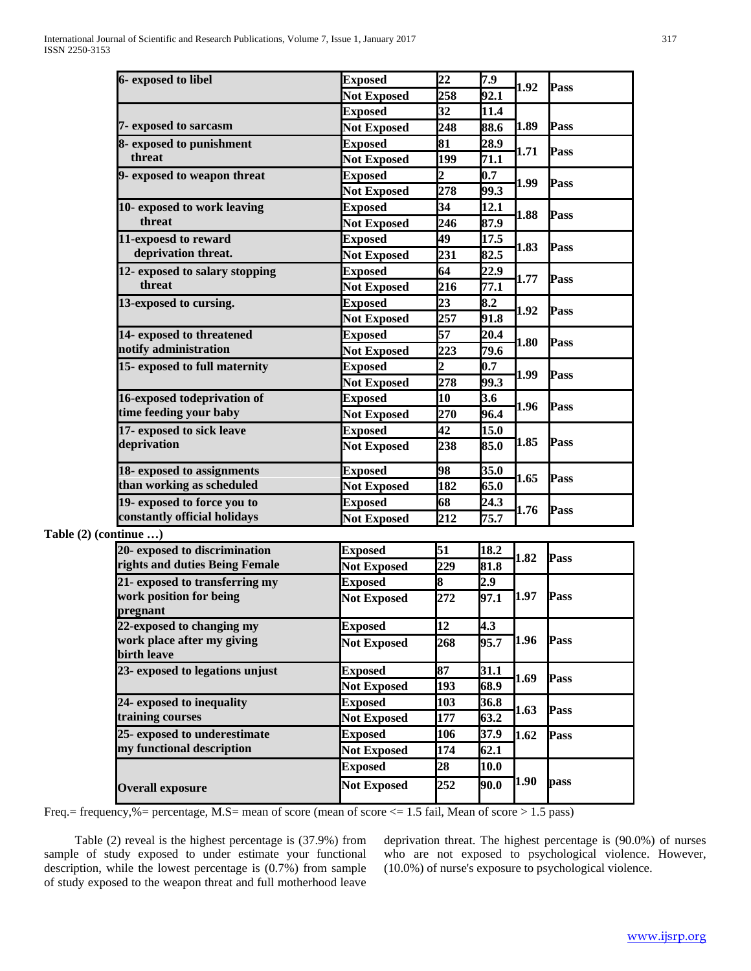|                       | 6- exposed to libel                       | <b>Exposed</b>     | $\overline{22}$ | 7.9  |      |      |  |
|-----------------------|-------------------------------------------|--------------------|-----------------|------|------|------|--|
|                       |                                           | <b>Not Exposed</b> | 258             | 92.1 | 1.92 | Pass |  |
|                       |                                           | <b>Exposed</b>     | 32              | 11.4 |      |      |  |
|                       | 7- exposed to sarcasm                     | <b>Not Exposed</b> | 248             | 88.6 | 1.89 | Pass |  |
|                       | 8- exposed to punishment                  | <b>Exposed</b>     | 81              | 28.9 |      |      |  |
|                       | threat                                    | <b>Not Exposed</b> | 199             | 71.1 | 1.71 | Pass |  |
|                       | 9- exposed to weapon threat               | <b>Exposed</b>     | $\overline{2}$  | 0.7  |      | Pass |  |
|                       |                                           | <b>Not Exposed</b> | 278             | 99.3 | 1.99 |      |  |
|                       | 10- exposed to work leaving               | <b>Exposed</b>     | 34              | 12.1 |      |      |  |
|                       | threat                                    | <b>Not Exposed</b> | 246             | 87.9 | 1.88 | Pass |  |
|                       | 11-expoesd to reward                      | <b>Exposed</b>     | 49              | 17.5 |      |      |  |
|                       | deprivation threat.                       | <b>Not Exposed</b> | 231             | 82.5 | 1.83 | Pass |  |
|                       | 12- exposed to salary stopping            | <b>Exposed</b>     | 64              | 22.9 |      |      |  |
|                       | threat                                    | <b>Not Exposed</b> | 216             | 77.1 | 1.77 | Pass |  |
|                       | 13-exposed to cursing.                    | <b>Exposed</b>     | $\overline{23}$ | 8.2  |      |      |  |
|                       |                                           | <b>Not Exposed</b> | 257             | 91.8 | 1.92 | Pass |  |
|                       | 14- exposed to threatened                 | <b>Exposed</b>     | 57              | 20.4 |      |      |  |
|                       | notify administration                     | <b>Not Exposed</b> | 223             | 79.6 | 1.80 | Pass |  |
|                       | 15- exposed to full maternity             | <b>Exposed</b>     | $\overline{2}$  | 0.7  |      |      |  |
|                       |                                           | <b>Not Exposed</b> | 278             | 99.3 | 1.99 | Pass |  |
|                       | 16-exposed todeprivation of               | <b>Exposed</b>     | 10              | 3.6  |      | Pass |  |
|                       | time feeding your baby                    | <b>Not Exposed</b> | 270             | 96.4 | 1.96 |      |  |
|                       | 17- exposed to sick leave                 | <b>Exposed</b>     | 42              | 15.0 |      | Pass |  |
|                       | deprivation                               | <b>Not Exposed</b> | 238             | 85.0 | 1.85 |      |  |
|                       | 18- exposed to assignments                | <b>Exposed</b>     | 98              | 35.0 |      |      |  |
|                       | than working as scheduled                 | <b>Not Exposed</b> | 182             | 65.0 | 1.65 | Pass |  |
|                       | 19- exposed to force you to               | <b>Exposed</b>     | 68              | 24.3 |      |      |  |
|                       | constantly official holidays              | <b>Not Exposed</b> | 212             | 75.7 | 1.76 | Pass |  |
| Table (2) (continue ) |                                           |                    |                 |      |      |      |  |
|                       | 20- exposed to discrimination             | <b>Exposed</b>     | 51              | 18.2 | 1.82 | Pass |  |
|                       | rights and duties Being Female            | <b>Not Exposed</b> | 229             | 81.8 |      |      |  |
|                       | 21- exposed to transferring my            | <b>Exposed</b>     | 8               | 2.9  |      |      |  |
|                       | work position for being<br>pregnant       | <b>Not Exposed</b> | 272             | 97.1 | 1.97 | Pass |  |
|                       | 22-exposed to changing my                 | <b>Exposed</b>     | $\overline{12}$ | 4.3  |      |      |  |
|                       | work place after my giving<br>birth leave | <b>Not Exposed</b> | 268             | 95.7 | 1.96 | Pass |  |
|                       | 23- exposed to legations unjust           | <b>Exposed</b>     | 87              | 31.1 |      |      |  |
|                       |                                           | <b>Not Exposed</b> | 193             | 68.9 | 1.69 | Pass |  |
|                       | 24- exposed to inequality                 | <b>Exposed</b>     | 103             | 36.8 |      |      |  |
|                       | training courses                          | <b>Not Exposed</b> | 177             | 63.2 | 1.63 | Pass |  |
|                       | 25- exposed to underestimate              | <b>Exposed</b>     | 106             | 37.9 | 1.62 | Pass |  |
|                       | my functional description                 | <b>Not Exposed</b> | 174             | 62.1 |      |      |  |
|                       |                                           | <b>Exposed</b>     | 28              | 10.0 |      | pass |  |
|                       | <b>Overall exposure</b>                   | <b>Not Exposed</b> | 252             | 90.0 | 1.90 |      |  |
|                       |                                           |                    |                 |      |      |      |  |

Freq.= frequency,%= percentage, M.S= mean of score (mean of score <= 1.5 fail, Mean of score > 1.5 pass)

 Table (2) reveal is the highest percentage is (37.9%) from sample of study exposed to under estimate your functional description, while the lowest percentage is (0.7%) from sample of study exposed to the weapon threat and full motherhood leave deprivation threat. The highest percentage is (90.0%) of nurses who are not exposed to psychological violence. However, (10.0%) of nurse's exposure to psychological violence.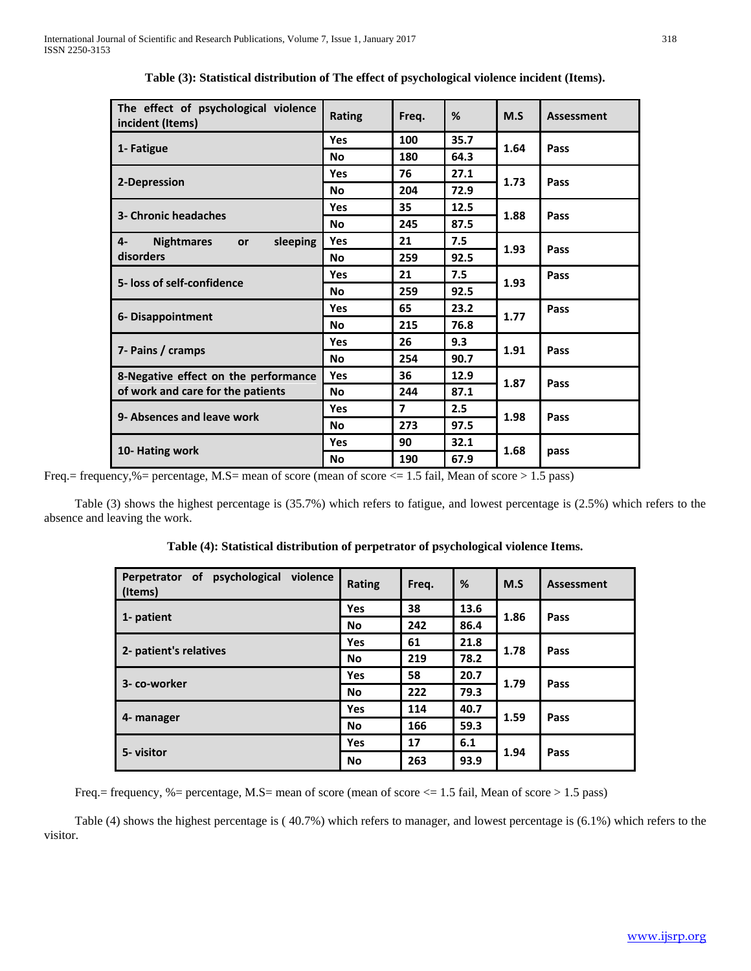| The effect of psychological violence<br>incident (Items) | <b>Rating</b> | Freq.                   | %    | M.S  | <b>Assessment</b> |  |
|----------------------------------------------------------|---------------|-------------------------|------|------|-------------------|--|
|                                                          | Yes           | 100                     | 35.7 | 1.64 | Pass              |  |
| 1- Fatigue                                               | <b>No</b>     | 180                     | 64.3 |      |                   |  |
| 2-Depression                                             | <b>Yes</b>    | 76                      | 27.1 | 1.73 | Pass              |  |
|                                                          | <b>No</b>     | 204                     | 72.9 |      |                   |  |
| 3- Chronic headaches                                     | <b>Yes</b>    | 35                      | 12.5 | 1.88 | Pass              |  |
|                                                          | <b>No</b>     | 245                     | 87.5 |      |                   |  |
| sleeping<br>$4-$<br><b>Nightmares</b><br><b>or</b>       | Yes           | 21                      | 7.5  | 1.93 | Pass              |  |
| disorders                                                | <b>No</b>     | 259                     | 92.5 |      |                   |  |
| 5- loss of self-confidence                               | Yes           | 21                      | 7.5  | 1.93 | Pass              |  |
|                                                          | <b>No</b>     | 259                     | 92.5 |      |                   |  |
|                                                          | <b>Yes</b>    | 65                      | 23.2 | 1.77 | Pass              |  |
| 6- Disappointment                                        | <b>No</b>     | 215                     | 76.8 |      |                   |  |
|                                                          | Yes           | 26                      | 9.3  | 1.91 | Pass              |  |
| 7- Pains / cramps                                        | <b>No</b>     | 254                     | 90.7 |      |                   |  |
| 8-Negative effect on the performance                     | <b>Yes</b>    | 36                      | 12.9 | 1.87 | Pass              |  |
| of work and care for the patients                        | <b>No</b>     | 244                     | 87.1 |      |                   |  |
| 9- Absences and leave work                               | <b>Yes</b>    | $\overline{\mathbf{z}}$ | 2.5  | 1.98 | Pass              |  |
|                                                          | <b>No</b>     | 273                     | 97.5 |      |                   |  |
|                                                          | Yes           | 90                      | 32.1 |      | pass              |  |
| 10- Hating work                                          | <b>No</b>     | 190                     | 67.9 | 1.68 |                   |  |

Freq.= frequency,%= percentage, M.S= mean of score (mean of score <= 1.5 fail, Mean of score > 1.5 pass)

 Table (3) shows the highest percentage is (35.7%) which refers to fatigue, and lowest percentage is (2.5%) which refers to the absence and leaving the work.

| Perpetrator of psychological<br>violence<br>(Items) | Rating     | Freq. | %    | M.S  | <b>Assessment</b> |  |
|-----------------------------------------------------|------------|-------|------|------|-------------------|--|
| 1- patient                                          | <b>Yes</b> | 38    | 13.6 | 1.86 | Pass              |  |
|                                                     | No         | 242   | 86.4 |      |                   |  |
| 2- patient's relatives                              | <b>Yes</b> | 61    | 21.8 | 1.78 | Pass              |  |
|                                                     | No         | 219   | 78.2 |      |                   |  |
| 3- co-worker                                        | <b>Yes</b> | 58    | 20.7 | 1.79 | Pass              |  |
|                                                     | No         | 222   | 79.3 |      |                   |  |
|                                                     | <b>Yes</b> | 114   | 40.7 |      |                   |  |
| 4- manager                                          | No         | 166   | 59.3 | 1.59 | Pass              |  |
|                                                     | <b>Yes</b> | 17    | 6.1  |      | Pass              |  |
| 5- visitor                                          | No         | 263   | 93.9 | 1.94 |                   |  |

**Table (4): Statistical distribution of perpetrator of psychological violence Items.**

Freq.= frequency, %= percentage, M.S= mean of score (mean of score <= 1.5 fail, Mean of score > 1.5 pass)

 Table (4) shows the highest percentage is ( 40.7%) which refers to manager, and lowest percentage is (6.1%) which refers to the visitor.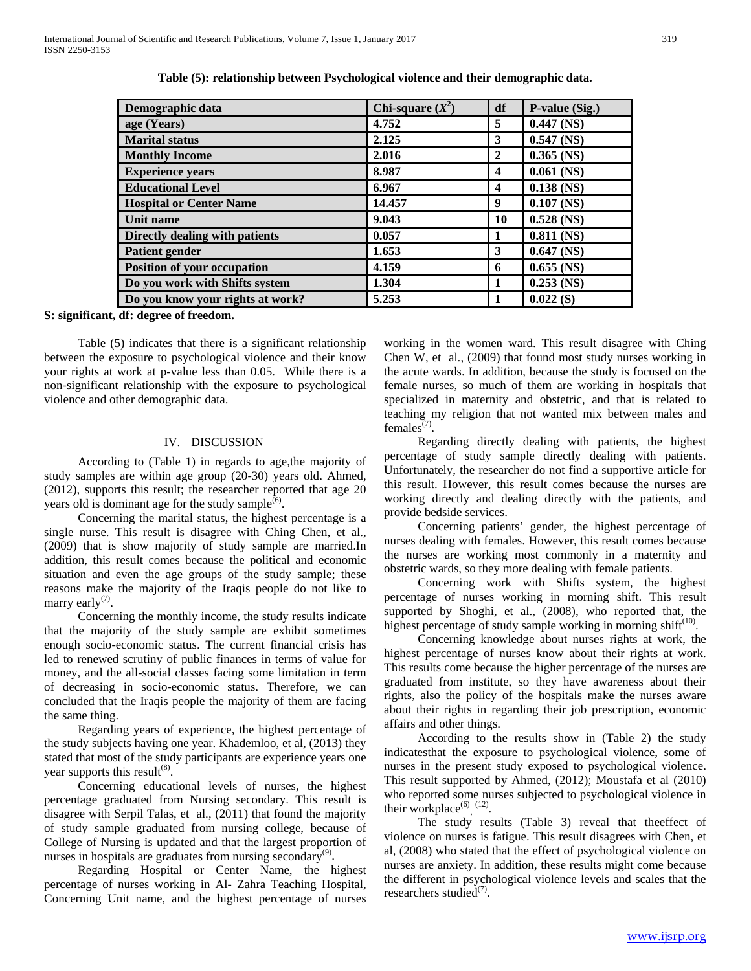| Demographic data                 | Chi-square $(X^2)$ | df                      | P-value (Sig.) |
|----------------------------------|--------------------|-------------------------|----------------|
| age (Years)                      | 4.752              | 5                       | $0.447$ (NS)   |
| <b>Marital status</b>            | 2.125              | 3                       | $0.547$ (NS)   |
| <b>Monthly Income</b>            | 2.016              | $\overline{2}$          | $0.365$ (NS)   |
| <b>Experience years</b>          | 8.987              | $\overline{\mathbf{4}}$ | $0.061$ (NS)   |
| <b>Educational Level</b>         | 6.967              | $\overline{\mathbf{4}}$ | $0.138$ (NS)   |
| <b>Hospital or Center Name</b>   | 14.457             | 9                       | $0.107$ (NS)   |
| <b>Unit name</b>                 | 9.043              | 10                      | $0.528$ (NS)   |
| Directly dealing with patients   | 0.057              |                         | $0.811$ (NS)   |
| <b>Patient gender</b>            | 1.653              | 3                       | $0.647$ (NS)   |
| Position of your occupation      | 4.159              | 6                       | $0.655$ (NS)   |
| Do you work with Shifts system   | 1.304              | 1                       | $0.253$ (NS)   |
| Do you know your rights at work? | 5.253              |                         | 0.022(S)       |

**Table (5): relationship between Psychological violence and their demographic data.**

**S: significant, df: degree of freedom.**

 Table (5) indicates that there is a significant relationship between the exposure to psychological violence and their know your rights at work at p-value less than 0.05. While there is a non-significant relationship with the exposure to psychological violence and other demographic data.

# IV. DISCUSSION

 According to (Table 1) in regards to age,the majority of study samples are within age group (20-30) years old. Ahmed, (2012), supports this result; the researcher reported that age 20 years old is dominant age for the study sample $^{(6)}$ .

 Concerning the marital status, the highest percentage is a single nurse. This result is disagree with Ching Chen, et al., (2009) that is show majority of study sample are married.In addition, this result comes because the political and economic situation and even the age groups of the study sample; these reasons make the majority of the Iraqis people do not like to marry early $(7)$ .

 Concerning the monthly income, the study results indicate that the majority of the study sample are exhibit sometimes enough socio-economic status. The current financial crisis has led to renewed scrutiny of public finances in terms of value for money, and the all-social classes facing some limitation in term of decreasing in socio-economic status. Therefore, we can concluded that the Iraqis people the majority of them are facing the same thing.

 Regarding years of experience, the highest percentage of the study subjects having one year. Khademloo, et al, (2013) they stated that most of the study participants are experience years one year supports this result<sup> $(8)$ </sup>.

 Concerning educational levels of nurses, the highest percentage graduated from Nursing secondary. This result is disagree with Serpil Talas, et al., (2011) that found the majority of study sample graduated from nursing college, because of College of Nursing is updated and that the largest proportion of nurses in hospitals are graduates from nursing secondary<sup>(9)</sup>.

 Regarding Hospital or Center Name, the highest percentage of nurses working in Al- Zahra Teaching Hospital, Concerning Unit name, and the highest percentage of nurses working in the women ward. This result disagree with Ching Chen W, et al., (2009) that found most study nurses working in the acute wards. In addition, because the study is focused on the female nurses, so much of them are working in hospitals that specialized in maternity and obstetric, and that is related to teaching my religion that not wanted mix between males and females<sup> $(7)$ </sup>.

 Regarding directly dealing with patients, the highest percentage of study sample directly dealing with patients. Unfortunately, the researcher do not find a supportive article for this result. However, this result comes because the nurses are working directly and dealing directly with the patients, and provide bedside services.

 Concerning patients' gender, the highest percentage of nurses dealing with females. However, this result comes because the nurses are working most commonly in a maternity and obstetric wards, so they more dealing with female patients.

 Concerning work with Shifts system, the highest percentage of nurses working in morning shift. This result supported by Shoghi, et al., (2008), who reported that, the highest percentage of study sample working in morning shift<sup>(10)</sup>.

 Concerning knowledge about nurses rights at work, the highest percentage of nurses know about their rights at work. This results come because the higher percentage of the nurses are graduated from institute, so they have awareness about their rights, also the policy of the hospitals make the nurses aware about their rights in regarding their job prescription, economic affairs and other things.

 According to the results show in (Table 2) the study indicatesthat the exposure to psychological violence, some of nurses in the present study exposed to psychological violence. This result supported by Ahmed, (2012); Moustafa et al (2010) who reported some nurses subjected to psychological violence in their workplace<sup>(6)</sup>, <sup>(12)</sup>.

 The study results (Table 3) reveal that theeffect of violence on nurses is fatigue. This result disagrees with Chen, et al, (2008) who stated that the effect of psychological violence on nurses are anxiety. In addition, these results might come because the different in psychological violence levels and scales that the researchers studied<sup>(7)</sup>.